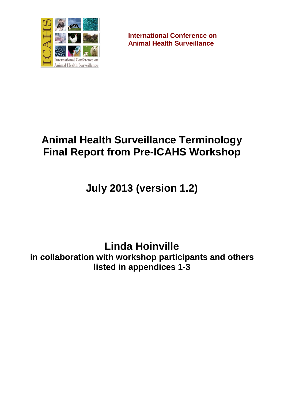

**International Conference on Animal Health Surveillance**

# **Animal Health Surveillance Terminology Final Report from Pre-ICAHS Workshop**

**July 2013 (version 1.2)**

**Linda Hoinville**

**in collaboration with workshop participants and others listed in appendices 1-3**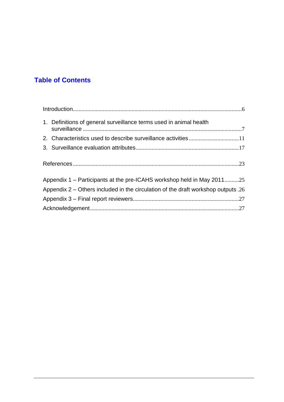# **Table of Contents**

| 1. Definitions of general surveillance terms used in animal health                  |  |
|-------------------------------------------------------------------------------------|--|
|                                                                                     |  |
|                                                                                     |  |
|                                                                                     |  |
| Appendix 1 – Participants at the pre-ICAHS workshop held in May 201125              |  |
| Appendix $2$ – Others included in the circulation of the draft workshop outputs .26 |  |
|                                                                                     |  |
|                                                                                     |  |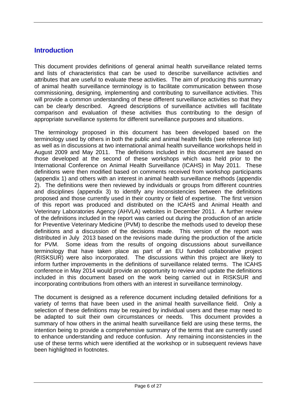### <span id="page-5-0"></span>**Introduction**

This document provides definitions of general animal health surveillance related terms and lists of characteristics that can be used to describe surveillance activities and attributes that are useful to evaluate these activities. The aim of producing this summary of animal health surveillance terminology is to facilitate communication between those commissioning, designing, implementing and contributing to surveillance activities. This will provide a common understanding of these different surveillance activities so that they can be clearly described. Agreed descriptions of surveillance activities will facilitate comparison and evaluation of these activities thus contributing to the design of appropriate surveillance systems for different surveillance purposes and situations.

The terminology proposed in this document has been developed based on the terminology used by others in both the public and animal health fields (see reference list) as well as in discussions at two international animal health surveillance workshops held in August 2009 and May 2011. The definitions included in this document are based on those developed at the second of these workshops which was held prior to the International Conference on Animal Health Surveillance (ICAHS) in May 2011. These definitions were then modified based on comments received from workshop participants (appendix 1) and others with an interest in animal health surveillance methods (appendix 2). The definitions were then reviewed by individuals or groups from different countries and disciplines (appendix 3) to identify any inconsistencies between the definitions proposed and those currently used in their country or field of expertise. The first version of this report was produced and distributed on the ICAHS and Animal Health and Veterinary Laboratories Agency (AHVLA) websites in December 2011. A further review of the definitions included in the report was carried out during the production of an article for Preventive Veterinary Medicine (PVM) to describe the methods used to develop these definitions and a discussion of the decisions made. This version of the report was distributed in July 2013 based on the revisions made during the production of the article for PVM. Some ideas from the results of ongoing discussions about surveillance terminology that have taken place as part of an EU funded collaborative project (RISKSUR) were also incorporated. The discussions within this project are likely to inform further improvements in the definitions of surveillance related terms. The ICAHS conference in May 2014 would provide an opportunity to review and update the definitions included in this document based on the work being carried out in RISKSUR and incorporating contributions from others with an interest in surveillance terminology.

The document is designed as a reference document including detailed definitions for a variety of terms that have been used in the animal health surveillance field. Only a selection of these definitions may be required by individual users and these may need to be adapted to suit their own circumstances or needs. This document provides a summary of how others in the animal health surveillance field are using these terms, the intention being to provide a comprehensive summary of the terms that are currently used to enhance understanding and reduce confusion. Any remaining inconsistencies in the use of these terms which were identified at the workshop or in subsequent reviews have been highlighted in footnotes.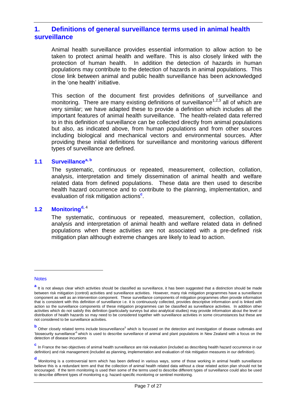### <span id="page-6-0"></span>**1. Definitions of general surveillance terms used in animal health surveillance**

Animal health surveillance provides essential information to allow action to be taken to protect animal health and welfare. This is also closely linked with the protection of human health. In addition the detection of hazards in human populations may contribute to the detection of hazards in animal populations. This close link between animal and public health surveillance has been acknowledged in the 'one health' initiative.

This section of the document first provides definitions of surveillance and monitoring. There are many existing definitions of surveillance<sup>1,2,3</sup> all of which are very similar; we have adapted these to provide a definition which includes all the important features of animal health surveillance. The health-related data referred to in this definition of surveillance can be collected directly from animal populations but also, as indicated above, from human populations and from other sources including biological and mechanical vectors and environmental sources. After providing these initial definitions for surveillance and monitoring various different types of surveillance are defined.

#### **1.1 Surveillancea, b**

The systematic, continuous or repeated, measurement, collection, collation, analysis, interpretation and timely dissemination of animal health and welfare related data from defined populations. These data are then used to describe health hazard occurrence and to contribute to the planning, implementation, and evaluation of risk mitigation actions<sup>c</sup>.

### **1.2 Monitoringd,** <sup>4</sup>

The systematic, continuous or repeated, measurement, collection, collation, analysis and interpretation of animal health and welfare related data in defined populations when these activities are not associated with a pre-defined risk mitigation plan although extreme changes are likely to lead to action.

#### **Notes**

a<br>It is not always clear which activities should be classified as surveillance, it has been suggested that a distinction should be made between risk mitigation (control) activities and surveillance activities. However, many risk mitigation programmes have a surveillance component as well as an intervention component. These surveillance components of mitigation programmes often provide information that is consistent with this definition of surveillance i.e. it is continuously collected, provides descriptive information and is linked with action so the surveillance components of these mitigation programmes can be classified as surveillance activities. In addition other activities which do not satisfy this definition (particularly surveys but also analytical studies) may provide information about the level or distribution of health hazards so may need to be considered together with surveillance activities in some circumstances but these are not considered to be surveillance activities.

**b**<br>
Other closely related terms include biosurveillance<sup>5</sup> which is focussed on the detection and investigation of disease outbreaks and 'biosecurity surveillance'<sup>6</sup>which is used to describe surveillance of animal and plant populations in New Zealand with a focus on the detection of disease incursions

**c** In France the two objectives of animal health surveillance are risk evaluation (included as describing health hazard occurrence in our definition) and risk management (included as planning, implementation and evaluation of risk mitigation measures in our definition).

**d** Monitoring is a controversial term which has been defined in various ways, some of those working in animal health surveillance believe this is a redundant term and that the collection of animal health related data without a clear related action plan should not be encouraged. If the term monitoring is used then some of the terms used to describe different types of surveillance could also be used to describe different types of monitoring e.g. hazard-specific monitoring or sentinel monitoring.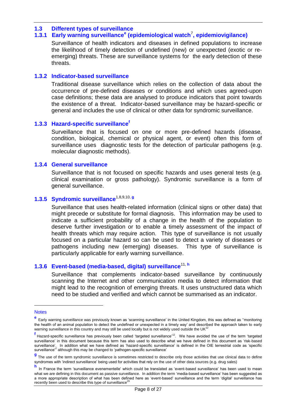#### **1.3 Different types of surveillance**

### **1.3.1 Early warning surveillance<sup>e</sup> (epidemiological watch**<sup>7</sup> **, epidemiovigilance)**

Surveillance of health indicators and diseases in defined populations to increase the likelihood of timely detection of undefined (new) or unexpected (exotic or reemerging) threats. These are surveillance systems for the early detection of these threats.

#### **1.3.2 Indicator-based surveillance**

Traditional disease surveillance which relies on the collection of data about the occurrence of pre-defined diseases or conditions and which uses agreed-upon case definitions; these data are analysed to produce indicators that point towards the existence of a threat. Indicator-based surveillance may be hazard-specific or general and includes the use of clinical or other data for syndromic surveillance.

#### **1.3.3 Hazard-specific surveillance<sup>f</sup>**

Surveillance that is focused on one or more pre-defined hazards (disease, condition, biological, chemical or physical agent, or event) often this form of surveillance uses diagnostic tests for the detection of particular pathogens (e.g. molecular diagnostic methods).

### **1.3.4 General surveillance**

Surveillance that is not focused on specific hazards and uses general tests (e.g. clinical examination or gross pathology). Syndromic surveillance is a form of general surveillance.

## **1.3.5 Syndromic surveillance**1,8,9,10, **<sup>g</sup>**

Surveillance that uses health-related information (clinical signs or other data) that might precede or substitute for formal diagnosis. This information may be used to indicate a sufficient probability of a change in the health of the population to deserve further investigation or to enable a timely assessment of the impact of health threats which may require action. This type of surveillance is not usually focused on a particular hazard so can be used to detect a variety of diseases or pathogens including new (emerging) diseases. This type of surveillance is particularly applicable for early warning surveillance.

### **1.3.6 Event-based (media-based, digital) surveillance**11, **<sup>h</sup>**

Surveillance that complements indicator-based surveillance by continuously scanning the Internet and other communication media to detect information that might lead to the recognition of emerging threats. It uses unstructured data which need to be studied and verified and which cannot be summarised as an indicator.

<u>.</u>

**Notes** 

**e** Early warning surveillance was previously known as 'scanning surveillance' in the United Kingdom, this was defined as ''monitoring the health of an animal population to detect the undefined or unexpected in a timely way' and described the approach taken to early warning surveillance in this country and may still be used locally but is not widely used outside the UK<sup>12</sup>

f<br>
Hazard-specific surveillance has previously been called 'targeted surveillance'<sup>12</sup>. We have avoided the use of the term 'targeted surveillance' in this document because this term has also used to describe what we have defined in this document as 'risk-based In addition what we have defined as 'hazard-specific surveillance' is defined in the OIE terrestrial code as 'specific surveillance<sup>'2</sup> although this may be changed to 'pathogen-specific surveillance'

**g** The use of the term syndromic surveillance is sometimes restricted to describe only those activities that use clinical data to define syndromes with 'indirect surveillance' being used for activities that rely on the use of other data sources (e.g. drug sales)

**h** In France the term 'surveillance evenementelle' which could be translated as 'event-based surveillance' has been used to mean what we are defining in this document as passive surveillance. In addition the term 'media-based surveillance' has been suggested as a more appropriate description of what has been defined here as 'event-based' surveillance and the term 'digital' surveillance has recently been used to describe this type of surveillance<sup>29</sup>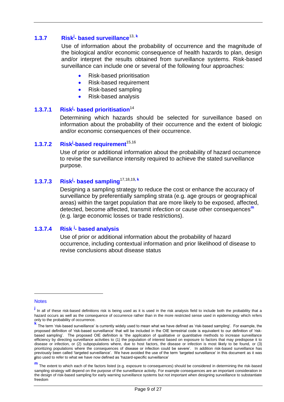### **1.3.7 Risk<sup>j</sup> - based surveillance**13, **<sup>k</sup>**

Use of information about the probability of occurrence and the magnitude of the biological and/or economic consequence of health hazards to plan, design and/or interpret the results obtained from surveillance systems. Risk-based surveillance can include one or several of the following four approaches:

- Risk-based prioritisation
- Risk-based requirement
- Risk-based sampling
- Risk-based analysis

#### **1.3.7.1 Risk<sup>j</sup> Risk<sup>j</sup>- based prioritisation<sup>14</sup>**

Determining which hazards should be selected for surveillance based on information about the probability of their occurrence and the extent of biologic and/or economic consequences of their occurrence.

#### **1.3.7.2 Risk<sup>j</sup> Risk<sup>j</sup>-based requirement**<sup>15,16</sup>

Use of prior or additional information about the probability of hazard occurrence to revise the surveillance intensity required to achieve the stated surveillance purpose.

### **1.3.7.3 Risk<sup>j</sup> - based sampling**17,18,19**, <sup>k</sup>**

Designing a sampling strategy to reduce the cost or enhance the accuracy of surveillance by preferentially sampling strata (e.g. age groups or geographical areas) within the target population that are more likely to be exposed, affected, detected, become affected, transmit infection or cause other consequences**<sup>m</sup>** (e.g. large economic losses or trade restrictions).

#### **1.3.7.4 Risk j - based analysis**

Use of prior or additional information about the probability of hazard occurrence, including contextual information and prior likelihood of disease to revise conclusions about disease status

**Notes** 

**j** In all of these risk-based definitions risk is being used as it is used in the risk analysis field to include both the probability that a hazard occurs as well as the consequence of occurrence rather than in the more restricted sense used in epidemiology which refers only to the probability of occurrence.

**k** The term 'risk-based surveillance' is currently widely used to mean what we have defined as 'risk-based sampling'. For example, the proposed definition of 'risk-based surveillance' that will be included in the OIE terrestrial code is equivalent to our definition of 'riskbased sampling'. The proposed OIE definition is 'the application of qualitative or quantitative methods to increase surveillance efficiency by directing surveillance activities to (1) the population of interest based on exposure to factors that may predispose it to disease or infection, or (2) subpopulations where, due to host factors, the disease or infection is most likely to be found, or (3) prioritizing populations where the consequences of disease or infection could be severe'. In addition risk-based surveillance has previously been called 'targeted surveillance'. We have avoided the use of the term 'targeted surveillance' in this document as it was also used to refer to what we have now defined as 'hazard-specific surveillance'

**m** The extent to which each of the factors listed (e.g. exposure to consequences) should be considered in determining the risk-based sampling strategy will depend on the purpose of the surveillance activity. For example consequences are an important consideration in the design of risk-based sampling for early warning surveillance systems but not important when designing surveillance to substantiate freedom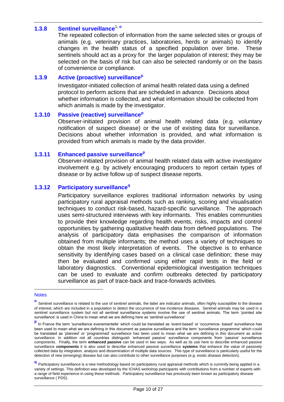### **1.3.8 Sentinel surveillance**1, **<sup>o</sup>**

The repeated collection of information from the same selected sites or groups of animals (e.g. veterinary practices, laboratories, herds or animals) to identify changes in the health status of a specified population over time. These sentinels should act as a proxy for the larger population of interest; they may be selected on the basis of risk but can also be selected randomly or on the basis of convenience or compliance.

#### **1.3.9 Active (proactive) surveillance<sup>p</sup>**

Investigator-initiated collection of animal health related data using a defined protocol to perform actions that are scheduled in advance. Decisions about whether information is collected, and what information should be collected from which animals is made by the investigator.

#### **1.3.10 Passive (reactive) surveillance<sup>p</sup>**

Observer-initiated provision of animal health related data (e.g. voluntary notification of suspect disease) or the use of existing data for surveillance. Decisions about whether information is provided, and what information is provided from which animals is made by the data provider.

#### **1.3.11 Enhanced passive surveillance<sup>p</sup>**

Observer-initiated provision of animal health related data with active investigator involvement e.g. by actively encouraging producers to report certain types of disease or by active follow up of suspect disease reports.

### **1.3.12 Participatory surveillance<sup>q</sup>**

Participatory surveillance explores traditional information networks by using participatory rural appraisal methods such as ranking, scoring and visualisation techniques to conduct risk-based, hazard-specific surveillance. The approach uses semi-structured interviews with key informants. This enables communities to provide their knowledge regarding health events, risks, impacts and control opportunities by gathering qualitative health data from defined populations. The analysis of participatory data emphasises the comparison of information obtained from multiple informants; the method uses a variety of techniques to obtain the most likely interpretation of events. The objective is to enhance sensitivity by identifying cases based on a clinical case definition; these may then be evaluated and confirmed using either rapid tests in the field or laboratory diagnostics. Conventional epidemiological investigation techniques can be used to evaluate and confirm outbreaks detected by participatory surveillance as part of trace-back and trace-forwards activities.

**Notes** 

**o** Sentinel surveillance is related to the use of sentinel animals, the latter are indicator animals, often highly susceptible to the disease of interest, which are included in a population to detect the occurrence of low incidence diseases. Sentinel animals may be used in a sentinel surveillance system but not all sentinel surveillance systems involve the use of sentinel animals. The term 'pointed site surveillance' is used in China to mean what we are defining here as 'sentinel surveillance'

**p** In France the term 'surveillance evenementelle' which could be translated as 'event-based' or 'occurrence- based' surveillance has been used to mean what we are defining in this document as passive surveillance and the term 'surveillance programme' which could be translated as 'planned' or 'programmed' surveillance has been used to mean what we are defining in this document as active surveillance. In addition not all countries distinguish 'enhanced passive' surveillance components from 'passive' surveillance components. Finally, the term **enhanced passive** can be used in two ways. As well as its use here to describe enhanced passive surveillance **components** it is also used to describe enhanced passive surveillance **systems** that enhance the value of passively collected data by integration, analysis and dissemination of multiple data sources. This type of surveillance is particularly useful for the detection of new (emerging) disease but can also contribute to other surveillance purposes (e.g. exotic disease detection).

**q** Participatory surveillance is a new methodology based on participatory rural appraisal methods which is currently being applied in a variety of settings. This definition was developed by the ICHAS workshop participants with contributions from a number of experts with a range of field experience in using these methods. Participatory surveillance has previously been known as participatory disease surveillance (PDS).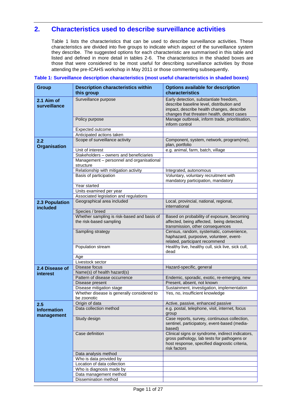### <span id="page-10-0"></span>**2. Characteristics used to describe surveillance activities**

Table 1 lists the characteristics that can be used to describe surveillance activities. These characteristics are divided into five groups to indicate which aspect of the surveillance system they describe. The suggested options for each characteristic are summarised in this table and listed and defined in more detail in tables 2-6. The characteristics in the shaded boxes are those that were considered to be most useful for describing surveillance activities by those attending the pre-ICAHS workshop in May 2011 or those commenting subsequently.

| <b>Group</b>                     | <b>Description characteristics within</b><br>this group                | <b>Options available for description</b><br>characteristics                                                                                                                    |
|----------------------------------|------------------------------------------------------------------------|--------------------------------------------------------------------------------------------------------------------------------------------------------------------------------|
| 2.1 Aim of<br>surveillance       | Surveillance purpose                                                   | Early detection, substantiate freedom,<br>describe baseline level, distribution and<br>impact, describe health changes, describe<br>changes that threaten health, detect cases |
|                                  | Policy purpose                                                         | Manage outbreak, inform trade, prioritisation,<br>inform control                                                                                                               |
|                                  | Expected outcome                                                       |                                                                                                                                                                                |
|                                  | Anticipated actions taken                                              |                                                                                                                                                                                |
| 2.2<br><b>Organisation</b>       | Scope of surveillance activity                                         | Component, system, network, program(me),<br>plan, portfolio                                                                                                                    |
|                                  | Unit of interest                                                       | e.g. animal, farm, batch, village                                                                                                                                              |
|                                  | Stakeholders - owners and beneficiaries                                |                                                                                                                                                                                |
|                                  | Management - personnel and organisational<br>structure                 |                                                                                                                                                                                |
|                                  | Relationship with mitigation activity                                  | Integrated, autonomous                                                                                                                                                         |
|                                  | Basis of participation                                                 | Voluntary, voluntary recruitment with<br>mandatory participation, mandatory                                                                                                    |
|                                  | Year started                                                           |                                                                                                                                                                                |
|                                  | Units examined per year                                                |                                                                                                                                                                                |
|                                  | Associated legislation and regulations                                 |                                                                                                                                                                                |
| 2.3 Population<br>included       | Geographical area included                                             | Local, provincial, national, regional,<br>international                                                                                                                        |
|                                  | Species / breed                                                        |                                                                                                                                                                                |
|                                  | Whether sampling is risk-based and basis of<br>the risk-based sampling | Based on probability of exposure, becoming<br>affected, being affected, being detected,<br>transmission, other consequences                                                    |
|                                  | Sampling strategy                                                      | Census, random, systematic, convenience,<br>haphazard, purposive, volunteer, event-<br>related, participant recommend                                                          |
|                                  | Population stream                                                      | Healthy live, healthy cull, sick live, sick cull,<br>dead                                                                                                                      |
|                                  | Age                                                                    |                                                                                                                                                                                |
|                                  | Livestock sector                                                       |                                                                                                                                                                                |
| 2.4 Disease of                   | Disease focus                                                          | Hazard-specific, general                                                                                                                                                       |
| interest                         | Name(s) of health hazard(s)                                            |                                                                                                                                                                                |
|                                  | Pattern of disease occurrence                                          | Endemic, sporadic, exotic, re-emerging, new                                                                                                                                    |
|                                  | Disease present                                                        | Present, absent, not known                                                                                                                                                     |
|                                  | Disease mitigation stage                                               | Sustainment, investigation, implementation                                                                                                                                     |
|                                  | Whether disease is generally considered to                             | Yes, no, insufficient knowledge                                                                                                                                                |
|                                  | be zoonotic                                                            |                                                                                                                                                                                |
| 2.5                              | Origin of data<br>Data collection method                               | Active, passive, enhanced passive<br>e.g. postal, telephone, visit, internet, focus                                                                                            |
| <b>Information</b><br>management |                                                                        | group                                                                                                                                                                          |
|                                  | Study design                                                           | Case reports, survey, continuous collection,<br>sentinel, participatory, event-based (media-<br>based)                                                                         |
|                                  | Case definition                                                        | Clinical signs or syndrome, indirect indicators,<br>gross pathology, lab tests for pathogens or<br>host response, specified diagnostic criteria,<br>risk factors               |
|                                  | Data analysis method                                                   |                                                                                                                                                                                |
|                                  | Who is data provided by                                                |                                                                                                                                                                                |
|                                  | Location of data collection                                            |                                                                                                                                                                                |
|                                  | Who is diagnosis made by                                               |                                                                                                                                                                                |
|                                  | Data management method                                                 |                                                                                                                                                                                |
|                                  | Dissemination method                                                   |                                                                                                                                                                                |

#### **Table 1: Surveillance description characteristics (most useful characteristics in shaded boxes)**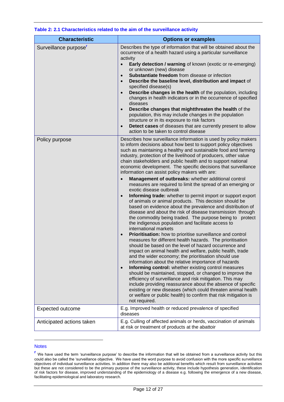| <b>Characteristic</b>             | <b>Options or examples</b>                                                                                                                                                                                                                                                                                                                                                                                                                                                                                                                                                                                                                                                                                                                                                                                                                                                                                                                                                                                                                                                                                                                                                                                                                                                                                                                                                                                                                                                                                                                                                                                                                                                                                                                                                                                                            |
|-----------------------------------|---------------------------------------------------------------------------------------------------------------------------------------------------------------------------------------------------------------------------------------------------------------------------------------------------------------------------------------------------------------------------------------------------------------------------------------------------------------------------------------------------------------------------------------------------------------------------------------------------------------------------------------------------------------------------------------------------------------------------------------------------------------------------------------------------------------------------------------------------------------------------------------------------------------------------------------------------------------------------------------------------------------------------------------------------------------------------------------------------------------------------------------------------------------------------------------------------------------------------------------------------------------------------------------------------------------------------------------------------------------------------------------------------------------------------------------------------------------------------------------------------------------------------------------------------------------------------------------------------------------------------------------------------------------------------------------------------------------------------------------------------------------------------------------------------------------------------------------|
| Surveillance purpose <sup>r</sup> | Describes the type of information that will be obtained about the<br>occurrence of a health hazard using a particular surveillance<br>activity<br>Early detection / warning of known (exotic or re-emerging)<br>$\bullet$<br>or unknown (new) disease<br>Substantiate freedom from disease or infection<br>$\bullet$<br>Describe the baseline level, distribution and impact of<br>$\bullet$<br>specified disease(s)<br>Describe changes in the health of the population, including<br>$\bullet$<br>changes in health indicators or in the occurrence of specified<br>diseases<br>Describe changes that mightthreaten the health of the<br>$\bullet$<br>population, this may include changes in the population<br>structure or in its exposure to risk factors<br>Detect cases of diseases that are currently present to allow<br>action to be taken to control disease                                                                                                                                                                                                                                                                                                                                                                                                                                                                                                                                                                                                                                                                                                                                                                                                                                                                                                                                                               |
| Policy purpose                    | Describes how surveillance information is used by policy makers<br>to inform decisions about how best to support policy objectives<br>such as maintaining a healthy and sustainable food and farming<br>industry, protection of the livelihood of producers, other value<br>chain stakeholders and public health and to support national<br>economic development. The specific decisions that surveillance<br>information can assist policy makers with are:<br>Management of outbreaks: whether additional control<br>$\bullet$<br>measures are required to limit the spread of an emerging or<br>exotic disease outbreak<br>Informing trade: whether to permit import or support export<br>$\bullet$<br>of animals or animal products. This decision should be<br>based on evidence about the prevalence and distribution of<br>disease and about the risk of disease transmission through<br>the commodity being traded. The purpose being to protect<br>the indigenous population and facilitate access to<br>international markets<br>Prioritisation: how to prioritise surveillance and control<br>$\bullet$<br>measures for different health hazards. The prioritisation<br>should be based on the level of hazard occurrence and<br>impact on animal health and welfare, public health, trade<br>and the wider economy; the prioritisation should use<br>information about the relative importance of hazards<br>Informing control: whether existing control measures<br>$\bullet$<br>should be maintained, stopped, or changed to improve the<br>efficiency of surveillance and risk mitigation. This may<br>include providing reassurance about the absence of specific<br>existing or new diseases (which could threaten animal health<br>or welfare or public health) to confirm that risk mitigation is<br>not required. |
| <b>Expected outcome</b>           | E.g. Improved health or reduced prevalence of specified<br>diseases                                                                                                                                                                                                                                                                                                                                                                                                                                                                                                                                                                                                                                                                                                                                                                                                                                                                                                                                                                                                                                                                                                                                                                                                                                                                                                                                                                                                                                                                                                                                                                                                                                                                                                                                                                   |
| Anticipated actions taken         | E.g. Culling of affected animals or herds, vaccination of animals<br>at risk or treatment of products at the abattoir                                                                                                                                                                                                                                                                                                                                                                                                                                                                                                                                                                                                                                                                                                                                                                                                                                                                                                                                                                                                                                                                                                                                                                                                                                                                                                                                                                                                                                                                                                                                                                                                                                                                                                                 |

#### **Table 2: 2.1 Characteristics related to the aim of the surveillance activity**

#### **Notes**

<u>.</u>

**r** We have used the term 'surveillance purpose' to describe the information that will be obtained from a surveillance activity but this could also be called the 'surveillance objective. We have used the word purpose to avoid confusion with the more specific surveillance objectives of individual surveillance activities. In addition there may also be additional benefits which result from surveillance activities but these are not considered to be the primary purpose of the surveillance activity, these include hypothesis generation, identification of risk factors for disease, improved understanding of the epidemiology of a disease e.g. following the emergence of a new disease, facilitating epidemiological and laboratory research.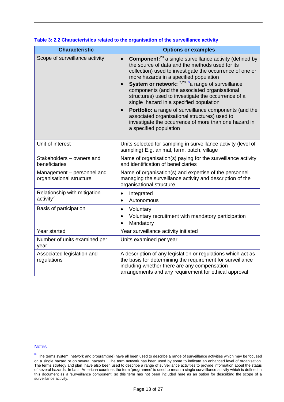| <b>Characteristic</b>                                  | <b>Options or examples</b>                                                                                                                                                                                                                                                                                                                                                                                                                                                                                                                                                                                                                                          |
|--------------------------------------------------------|---------------------------------------------------------------------------------------------------------------------------------------------------------------------------------------------------------------------------------------------------------------------------------------------------------------------------------------------------------------------------------------------------------------------------------------------------------------------------------------------------------------------------------------------------------------------------------------------------------------------------------------------------------------------|
| Scope of surveillance activity                         | <b>Component:</b> <sup>20</sup> a single surveillance activity (defined by<br>$\bullet$<br>the source of data and the methods used for its<br>collection) used to investigate the occurrence of one or<br>more hazards in a specified population<br>System or network: 7,20, sa range of surveillance<br>components (and the associated organisational<br>structures) used to investigate the occurrence of a<br>single hazard in a specified population<br>Portfolio: a range of surveillance components (and the<br>$\bullet$<br>associated organisational structures) used to<br>investigate the occurrence of more than one hazard in<br>a specified population |
| Unit of interest                                       | Units selected for sampling in surveillance activity (level of<br>sampling) E.g. animal, farm, batch, village                                                                                                                                                                                                                                                                                                                                                                                                                                                                                                                                                       |
| Stakeholders - owners and<br>beneficiaries             | Name of organisation(s) paying for the surveillance activity<br>and identification of beneficiaries                                                                                                                                                                                                                                                                                                                                                                                                                                                                                                                                                                 |
| Management - personnel and<br>organisational structure | Name of organisation(s) and expertise of the personnel<br>managing the surveillance activity and description of the<br>organisational structure                                                                                                                                                                                                                                                                                                                                                                                                                                                                                                                     |
| Relationship with mitigation<br>activity <sup>7</sup>  | Integrated<br>$\bullet$<br>Autonomous<br>$\bullet$                                                                                                                                                                                                                                                                                                                                                                                                                                                                                                                                                                                                                  |
| Basis of participation                                 | Voluntary<br>$\bullet$<br>Voluntary recruitment with mandatory participation<br>$\bullet$<br>Mandatory<br>$\bullet$                                                                                                                                                                                                                                                                                                                                                                                                                                                                                                                                                 |
| Year started                                           | Year surveillance activity initiated                                                                                                                                                                                                                                                                                                                                                                                                                                                                                                                                                                                                                                |
| Number of units examined per<br>year                   | Units examined per year                                                                                                                                                                                                                                                                                                                                                                                                                                                                                                                                                                                                                                             |
| Associated legislation and<br>regulations              | A description of any legislation or regulations which act as<br>the basis for determining the requirement for surveillance<br>including whether there are any compensation<br>arrangements and any requirement for ethical approval                                                                                                                                                                                                                                                                                                                                                                                                                                 |

#### **Table 3: 2.2 Characteristics related to the organisation of the surveillance activity**

#### **Notes**

**s** The terms system, network and program(me) have all been used to describe a range of surveillance activities which may be focused on a single hazard or on several hazards. The term network has been used by some to indicate an enhanced level of organisation. The terms strategy and plan have also been used to describe a range of surveillance activities to provide information about the status of several hazards. In Latin American countries the term 'programme' is used to mean a single surveillance activity which is defined in this document as a 'surveillance component' so this term has not been included here as an option for describing the scope of a surveillance activity.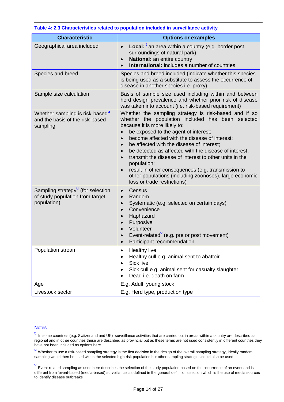| <b>Characteristic</b>                                                               | <b>Options or examples</b>                                                                                                                                                                                                                                                                                                                                                                                                                                                                                                                                                                                                          |
|-------------------------------------------------------------------------------------|-------------------------------------------------------------------------------------------------------------------------------------------------------------------------------------------------------------------------------------------------------------------------------------------------------------------------------------------------------------------------------------------------------------------------------------------------------------------------------------------------------------------------------------------------------------------------------------------------------------------------------------|
| Geographical area included                                                          | <b>Local:</b> $^t$ an area within a country (e.g. border post,<br>$\bullet$<br>surroundings of natural park)<br>National: an entire country<br>$\bullet$<br><b>International:</b> includes a number of countries                                                                                                                                                                                                                                                                                                                                                                                                                    |
| Species and breed                                                                   | Species and breed included (indicate whether this species<br>is being used as a substitute to assess the occurrence of<br>disease in another species i.e. proxy)                                                                                                                                                                                                                                                                                                                                                                                                                                                                    |
| Sample size calculation                                                             | Basis of sample size used including within and between<br>herd design prevalence and whether prior risk of disease<br>was taken into account (i.e. risk-based requirement)                                                                                                                                                                                                                                                                                                                                                                                                                                                          |
| Whether sampling is risk-based"<br>and the basis of the risk-based<br>sampling      | Whether the sampling strategy is risk-based and if so<br>whether the population included has been selected<br>because it is more likely to:<br>be exposed to the agent of interest;<br>become affected with the disease of interest;<br>$\bullet$<br>be affected with the disease of interest;<br>$\bullet$<br>be detected as affected with the disease of interest;<br>$\bullet$<br>transmit the disease of interest to other units in the<br>$\bullet$<br>population;<br>result in other consequences (e.g. transmission to<br>$\bullet$<br>other populations (including zoonoses), large economic<br>loss or trade restrictions) |
| Sampling strategy" (for selection<br>of study population from target<br>population) | Census<br>$\bullet$<br>Random<br>$\bullet$<br>Systematic (e.g. selected on certain days)<br>$\bullet$<br>Convenience<br>$\bullet$<br>Haphazard<br>$\bullet$<br>Purposive<br>$\bullet$<br>Volunteer<br>Event-related <sup>v</sup> (e.g. pre or post movement)<br>Participant recommendation                                                                                                                                                                                                                                                                                                                                          |
| Population stream                                                                   | <b>Healthy live</b><br>٠<br>Healthy cull e.g. animal sent to abattoir<br>٠<br>Sick live<br>Sick cull e.g. animal sent for casualty slaughter<br>Dead i.e. death on farm                                                                                                                                                                                                                                                                                                                                                                                                                                                             |
| Age                                                                                 | E.g. Adult, young stock                                                                                                                                                                                                                                                                                                                                                                                                                                                                                                                                                                                                             |
| Livestock sector                                                                    | E.g. Herd type, production type                                                                                                                                                                                                                                                                                                                                                                                                                                                                                                                                                                                                     |

#### **Table 4: 2.3 Characteristics related to population included in surveillance activity**

#### **Notes**

<u>.</u>

**t** In some countries (e.g. Switzerland and UK) surveillance activities that are carried out in areas within a country are described as regional and in other countries these are described as provincial but as these terms are not used consistently in different countries they have not been included as options here

**<sup>u</sup>** Whether to use a risk-based sampling strategy is the first decision in the design of the overall sampling strategy, ideally random sampling would then be used within the selected high-risk population but other sampling strategies could also be used

**v** Event-related sampling as used here describes the selection of the study population based on the occurrence of an event and is different from 'event-based (media-based) surveillance' as defined in the general definitions section which is the use of media sources to identify disease outbreaks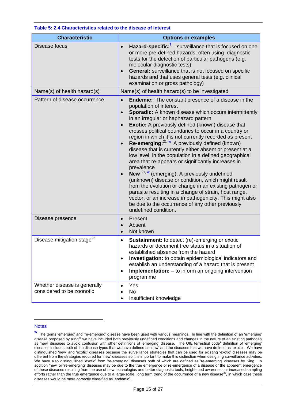| <b>Characteristic</b>                                     | <b>Options or examples</b>                                                                                                                                                                                                                                                                                                                                                                                                                                                                                                                                                                                                                                                                                                                                                                                                                                                                                                                                                                                                                                          |
|-----------------------------------------------------------|---------------------------------------------------------------------------------------------------------------------------------------------------------------------------------------------------------------------------------------------------------------------------------------------------------------------------------------------------------------------------------------------------------------------------------------------------------------------------------------------------------------------------------------------------------------------------------------------------------------------------------------------------------------------------------------------------------------------------------------------------------------------------------------------------------------------------------------------------------------------------------------------------------------------------------------------------------------------------------------------------------------------------------------------------------------------|
| Disease focus                                             | Hazard-specific: <sup>†</sup> – surveillance that is focused on one<br>$\bullet$<br>or more pre-defined hazards; often using diagnostic<br>tests for the detection of particular pathogens (e.g.<br>molecular diagnostic tests)<br><b>General:</b> surveillance that is not focused on specific<br>$\bullet$<br>hazards and that uses general tests (e.g. clinical<br>examination or gross pathology)                                                                                                                                                                                                                                                                                                                                                                                                                                                                                                                                                                                                                                                               |
| Name(s) of health hazard(s)                               | Name(s) of health hazard(s) to be investigated                                                                                                                                                                                                                                                                                                                                                                                                                                                                                                                                                                                                                                                                                                                                                                                                                                                                                                                                                                                                                      |
| Pattern of disease occurrence                             | <b>Endemic:</b> The constant presence of a disease in the<br>$\bullet$<br>population of interest<br><b>Sporadic:</b> A known disease which occurs intermittently<br>$\bullet$<br>in an irregular or haphazard pattern<br><b>Exotic:</b> A previously defined (known) disease that<br>$\bullet$<br>crosses political boundaries to occur in a country or<br>region in which it is not currently recorded as present<br>Re-emerging: <sup>21, w</sup> A previously defined (known)<br>disease that is currently either absent or present at a<br>low level, in the population in a defined geographical<br>area that re-appears or significantly increases in<br>prevalence<br>New <sup>21, w</sup> (emerging): A previously undefined<br>$\bullet$<br>(unknown) disease or condition, which might result<br>from the evolution or change in an existing pathogen or<br>parasite resulting in a change of strain, host range,<br>vector, or an increase in pathogenicity. This might also<br>be due to the occurrence of any other previously<br>undefined condition. |
| Disease presence                                          | Present<br>Absent<br>Not known<br>$\bullet$                                                                                                                                                                                                                                                                                                                                                                                                                                                                                                                                                                                                                                                                                                                                                                                                                                                                                                                                                                                                                         |
| Disease mitigation stage <sup>22</sup>                    | <b>Sustainment:</b> to detect (re)-emerging or exotic<br>$\bullet$<br>hazards or document free status in a situation of<br>established absence from the hazard<br>Investigation: to obtain epidemiological indicators and<br>$\bullet$<br>establish an understanding of a hazard that is present<br>Implementation: - to inform an ongoing intervention<br>$\bullet$<br>programme                                                                                                                                                                                                                                                                                                                                                                                                                                                                                                                                                                                                                                                                                   |
| Whether disease is generally<br>considered to be zoonotic | Yes<br>$\bullet$<br><b>No</b><br>Insufficient knowledge                                                                                                                                                                                                                                                                                                                                                                                                                                                                                                                                                                                                                                                                                                                                                                                                                                                                                                                                                                                                             |

#### **Table 5: 2.4 Characteristics related to the disease of interest**

#### **Notes**

**w** The terms 'emerging' and 're-emerging' disease have been used with various meanings. In line with the definition of an 'emerging' disease proposed by King<sup>21</sup> we have included both previously undefined conditions and changes in the nature of an existing pathogen as 'new' diseases to avoid confusion with other definitions of 'emerging' disease. The OIE terrestrial code<sup>2</sup> definition of 'emerging' diseases includes both of the disease types that we have defined as 'new' and the diseases that we have defined as 'exotic'. We have distinguished 'new' and 'exotic' diseases because the surveillance strategies that can be used for existing 'exotic' diseases may be different from the strategies required for 'new' diseases so it is important to make this distinction when designing surveillance activities. We have also distinguished 'exotic' from 're-emerging' diseases both of which are defined as 're-emerging' diseases by King. In addition 'new' or 're-emerging' diseases may be due to the true emergence or re-emergence of a disease or the apparent emergence of these diseases resulting from the use of new technologies and better diagnostic tools, heightened awareness or increased sampling efforts rather than the true emergence due to a large-scale, long term trend of the occurrence of a new disease<sup>23</sup>, in which case these diseases would be more correctly classified as 'endemic' .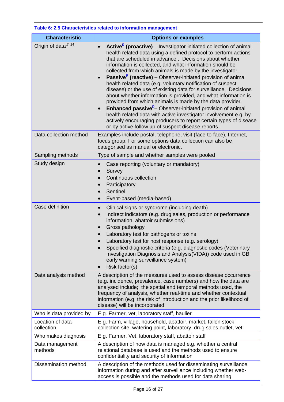| <b>Characteristic</b>            | <b>Options or examples</b>                                                                                                                                                                                                                                                                                                                                                                                                                                                                                                                                                                                                                                                                                                                                                                                                                                                                                                                                                           |
|----------------------------------|--------------------------------------------------------------------------------------------------------------------------------------------------------------------------------------------------------------------------------------------------------------------------------------------------------------------------------------------------------------------------------------------------------------------------------------------------------------------------------------------------------------------------------------------------------------------------------------------------------------------------------------------------------------------------------------------------------------------------------------------------------------------------------------------------------------------------------------------------------------------------------------------------------------------------------------------------------------------------------------|
| Origin of data <sup>,7, 24</sup> | Active <sup>p</sup> (proactive) – Investigator-initiated collection of animal<br>health related data using a defined protocol to perform actions<br>that are scheduled in advance. Decisions about whether<br>information is collected, and what information should be<br>collected from which animals is made by the investigator.<br><b>Passive</b> (reactive) – Observer-initiated provision of animal<br>$\bullet$<br>health related data (e.g. voluntary notification of suspect<br>disease) or the use of existing data for surveillance. Decisions<br>about whether information is provided, and what information is<br>provided from which animals is made by the data provider.<br><b>Enhanced passive<sup>p</sup></b> - Observer-initiated provision of animal<br>$\bullet$<br>health related data with active investigator involvement e.g. by<br>actively encouraging producers to report certain types of disease<br>or by active follow up of suspect disease reports. |
| Data collection method           | Examples include postal, telephone, visit (face-to-face), Internet,<br>focus group. For some options data collection can also be<br>categorised as manual or electronic.                                                                                                                                                                                                                                                                                                                                                                                                                                                                                                                                                                                                                                                                                                                                                                                                             |
| Sampling methods                 | Type of sample and whether samples were pooled                                                                                                                                                                                                                                                                                                                                                                                                                                                                                                                                                                                                                                                                                                                                                                                                                                                                                                                                       |
| Study design                     | Case reporting (voluntary or mandatory)<br>$\bullet$<br>Survey<br>$\bullet$<br>Continuous collection<br>$\bullet$<br>Participatory<br>$\bullet$<br>Sentinel<br>$\bullet$<br>Event-based (media-based)<br>$\bullet$                                                                                                                                                                                                                                                                                                                                                                                                                                                                                                                                                                                                                                                                                                                                                                   |
| Case definition                  | Clinical signs or syndrome (including death)<br>$\bullet$<br>Indirect indicators (e.g. drug sales, production or performance<br>$\bullet$<br>information, abattoir submissions)<br>Gross pathology<br>$\bullet$<br>Laboratory test for pathogens or toxins<br>$\bullet$<br>Laboratory test for host response (e.g. serology)<br>Specified diagnostic criteria (e.g. diagnostic codes (Veterinary<br>Investigation Diagnosis and Analysis (VIDA)) code used in GB<br>early warning surveillance system)<br>Risk factor(s)                                                                                                                                                                                                                                                                                                                                                                                                                                                             |
| Data analysis method             | A description of the measures used to assess disease occurrence<br>(e.g. incidence, prevalence, case numbers) and how the data are<br>analysed include; the spatial and temporal methods used, the<br>frequency of analysis, whether real-time and whether contextual<br>information (e.g. the risk of introduction and the prior likelihood of<br>disease) will be incorporated                                                                                                                                                                                                                                                                                                                                                                                                                                                                                                                                                                                                     |
| Who is data provided by          | E.g. Farmer, vet, laboratory staff, haulier                                                                                                                                                                                                                                                                                                                                                                                                                                                                                                                                                                                                                                                                                                                                                                                                                                                                                                                                          |
| Location of data<br>collection   | E.g. Farm, village, household, abattoir, market, fallen stock<br>collection site, watering point, laboratory, drug sales outlet, vet                                                                                                                                                                                                                                                                                                                                                                                                                                                                                                                                                                                                                                                                                                                                                                                                                                                 |
| Who makes diagnosis              | E.g. Farmer, Vet, laboratory staff, abattoir staff                                                                                                                                                                                                                                                                                                                                                                                                                                                                                                                                                                                                                                                                                                                                                                                                                                                                                                                                   |
| Data management<br>methods       | A description of how data is managed e.g. whether a central<br>relational database is used and the methods used to ensure<br>confidentiality and security of information                                                                                                                                                                                                                                                                                                                                                                                                                                                                                                                                                                                                                                                                                                                                                                                                             |
| <b>Dissemination method</b>      | A description of the methods used for disseminating surveillance<br>information during and after surveillance including whether web-<br>access is possible and the methods used for data sharing                                                                                                                                                                                                                                                                                                                                                                                                                                                                                                                                                                                                                                                                                                                                                                                     |

#### **Table 6: 2.5 Characteristics related to information management**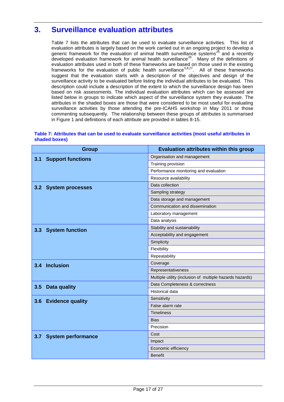# <span id="page-16-0"></span>**3. Surveillance evaluation attributes**

Table 7 lists the attributes that can be used to evaluate surveillance activities. This list of evaluation attributes is largely based on the work carried out in an ongoing project to develop a generic framework for the evaluation of animal health surveillance systems<sup>25</sup> and a recently developed evaluation framework for animal health surveillance<sup>26</sup>. Many of the definitions of evaluation attributes used in both of these frameworks are based on those used in the existing frameworks for the evaluation of public health surveillance<sup>3,8,27</sup>. All of these frameworks suggest that the evaluation starts with a description of the objectives and design of the surveillance activity to be evaluated before listing the individual attributes to be evaluated. This description could include a description of the extent to which the surveillance design has been based on risk assessments. The individual evaluation attributes which can be assessed are listed below in groups to indicate which aspect of the surveillance system they evaluate. The attributes in the shaded boxes are those that were considered to be most useful for evaluating surveillance activities by those attending the pre-ICAHS workshop in May 2011 or those commenting subsequently. The relationship between these groups of attributes is summarised in Figure 1 and definitions of each attribute are provided in tables 8-15.

**Table 7: Attributes that can be used to evaluate surveillance activities (most useful attributes in** 

| Table 7: Attributes that can be used to evaluate surveniance activities (most useful attributes in<br>shaded boxes) |                                                                                                                 |  |
|---------------------------------------------------------------------------------------------------------------------|-----------------------------------------------------------------------------------------------------------------|--|
|                                                                                                                     |                                                                                                                 |  |
|                                                                                                                     | the contract of the contract of the contract of the contract of the contract of the contract of the contract of |  |

| <b>Group</b>                     | <b>Evaluation attributes within this group</b>           |
|----------------------------------|----------------------------------------------------------|
| 3.1<br><b>Support functions</b>  | Organisation and management                              |
|                                  | Training provision                                       |
|                                  | Performance monitoring and evaluation                    |
|                                  | Resource availability                                    |
| 3.2<br><b>System processes</b>   | Data collection                                          |
|                                  | Sampling strategy                                        |
|                                  | Data storage and management                              |
|                                  | Communication and dissemination                          |
|                                  | Laboratory management                                    |
|                                  | Data analysis                                            |
| 3.3<br><b>System function</b>    | Stability and sustainability                             |
|                                  | Acceptability and engagement                             |
|                                  | Simplicity                                               |
|                                  | Flexibility                                              |
|                                  | Repeatability                                            |
| 3.4 Inclusion                    | Coverage                                                 |
|                                  | Representativeness                                       |
|                                  | Multiple utility (inclusion of multiple hazards hazards) |
| 3.5<br>Data quality              | Data Completeness & correctness                          |
|                                  | <b>Historical data</b>                                   |
| <b>Evidence quality</b><br>3.6   | Sensitivity                                              |
|                                  | False alarm rate                                         |
|                                  | <b>Timeliness</b>                                        |
|                                  | <b>Bias</b>                                              |
|                                  | Precision                                                |
| <b>System performance</b><br>3.7 | Cost                                                     |
|                                  | Impact                                                   |
|                                  | Economic efficiency                                      |
|                                  | <b>Benefit</b>                                           |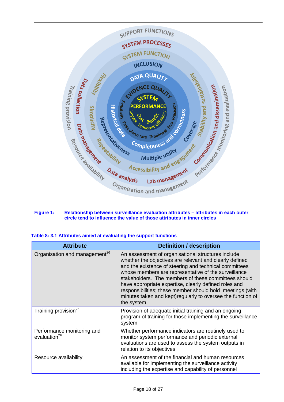

#### **Figure 1: Relationship between surveillance evaluation attributes – attributes in each outer circle tend to influence the value of those attributes in inner circles**

| Table 8: 3.1 Attributes aimed at evaluating the support functions |  |  |
|-------------------------------------------------------------------|--|--|
|-------------------------------------------------------------------|--|--|

| <b>Attribute</b>                                       | <b>Definition / description</b>                                                                                                                                                                                                                                                                                                                                                                                                                                                              |
|--------------------------------------------------------|----------------------------------------------------------------------------------------------------------------------------------------------------------------------------------------------------------------------------------------------------------------------------------------------------------------------------------------------------------------------------------------------------------------------------------------------------------------------------------------------|
| Organisation and management <sup>26</sup>              | An assessment of organisational structures include<br>whether the objectives are relevant and clearly defined<br>and the existence of steering and technical committees<br>whose members are representative of the surveillance<br>stakeholders. The members of these committees should<br>have appropriate expertise, clearly defined roles and<br>responsibilities; these member should hold meetings (with<br>minutes taken and kept) regularly to oversee the function of<br>the system. |
| Training provision <sup>26</sup>                       | Provision of adequate initial training and an ongoing<br>program of training for those implementing the surveillance<br>system                                                                                                                                                                                                                                                                                                                                                               |
| Performance monitoring and<br>evaluation <sup>26</sup> | Whether performance indicators are routinely used to<br>monitor system performance and periodic external<br>evaluations are used to assess the system outputs in<br>relation to its objectives                                                                                                                                                                                                                                                                                               |
| Resource availability                                  | An assessment of the financial and human resources<br>available for implementing the surveillance activity<br>including the expertise and capability of personnel                                                                                                                                                                                                                                                                                                                            |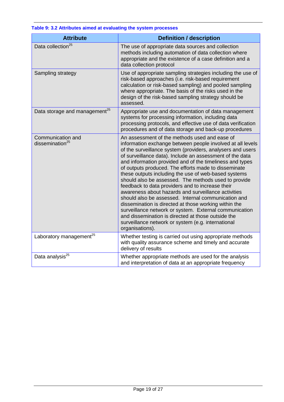| <b>Attribute</b>                                 | <b>Definition / description</b>                                                                                                                                                                                                                                                                                                                                                                                                                                                                                                                                                                                                                                                                                                                                                                                                                                                               |
|--------------------------------------------------|-----------------------------------------------------------------------------------------------------------------------------------------------------------------------------------------------------------------------------------------------------------------------------------------------------------------------------------------------------------------------------------------------------------------------------------------------------------------------------------------------------------------------------------------------------------------------------------------------------------------------------------------------------------------------------------------------------------------------------------------------------------------------------------------------------------------------------------------------------------------------------------------------|
| Data collection <sup>25</sup>                    | The use of appropriate data sources and collection<br>methods including automation of data collection where<br>appropriate and the existence of a case definition and a<br>data collection protocol                                                                                                                                                                                                                                                                                                                                                                                                                                                                                                                                                                                                                                                                                           |
| Sampling strategy                                | Use of appropriate sampling strategies including the use of<br>risk-based approaches (i.e. risk-based requirement<br>calculation or risk-based sampling) and pooled sampling<br>where appropriate. The basis of the risks used in the<br>design of the risk-based sampling strategy should be<br>assessed.                                                                                                                                                                                                                                                                                                                                                                                                                                                                                                                                                                                    |
| Data storage and management <sup>25</sup>        | Appropriate use and documentation of data management<br>systems for processing information, including data<br>processing protocols, and effective use of data verification<br>procedures and of data storage and back-up procedures                                                                                                                                                                                                                                                                                                                                                                                                                                                                                                                                                                                                                                                           |
| Communication and<br>dissemination <sup>25</sup> | An assessment of the methods used and ease of<br>information exchange between people involved at all levels<br>of the surveillance system (providers, analysers and users<br>of surveillance data). Include an assessment of the data<br>and information provided and of the timeliness and types<br>of outputs produced. The efforts made to disseminate<br>these outputs including the use of web-based systems<br>should also be assessed. The methods used to provide<br>feedback to data providers and to increase their<br>awareness about hazards and surveillance activities<br>should also be assessed. Internal communication and<br>dissemination is directed at those working within the<br>surveillance network or system. External communication<br>and dissemination is directed at those outside the<br>surveillance network or system (e.g. international<br>organisations). |
| Laboratory management <sup>25</sup>              | Whether testing is carried out using appropriate methods<br>with quality assurance scheme and timely and accurate<br>delivery of results                                                                                                                                                                                                                                                                                                                                                                                                                                                                                                                                                                                                                                                                                                                                                      |
| Data analysis <sup>25</sup>                      | Whether appropriate methods are used for the analysis<br>and interpretation of data at an appropriate frequency                                                                                                                                                                                                                                                                                                                                                                                                                                                                                                                                                                                                                                                                                                                                                                               |

#### **Table 9: 3.2 Attributes aimed at evaluating the system processes**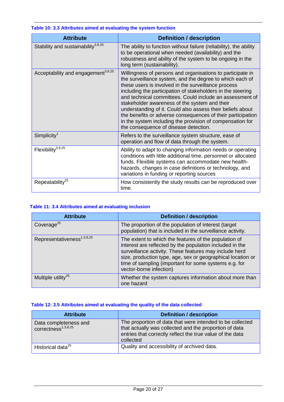| <b>Attribute</b>                               | <b>Definition / description</b>                                                                                                                                                                                                                                                                                                                                                                                                                                                                                                                                                              |
|------------------------------------------------|----------------------------------------------------------------------------------------------------------------------------------------------------------------------------------------------------------------------------------------------------------------------------------------------------------------------------------------------------------------------------------------------------------------------------------------------------------------------------------------------------------------------------------------------------------------------------------------------|
| Stability and sustainability $3,8,25$          | The ability to function without failure (reliability), the ability<br>to be operational when needed (availability) and the<br>robustness and ability of the system to be ongoing in the<br>long term (sustainability).                                                                                                                                                                                                                                                                                                                                                                       |
| Acceptability and engagement <sup>3,8,25</sup> | Willingness of persons and organisations to participate in<br>the surveillance system, and the degree to which each of<br>these users is involved in the surveillance process<br>including the participation of stakeholders in the steering<br>and technical committees. Could include an assessment of<br>stakeholder awareness of the system and their<br>understanding of it. Could also assess their beliefs about<br>the benefits or adverse consequences of their participation<br>in the system including the provision of compensation for<br>the consequence of disease detection. |
| Simplify <sup>1</sup>                          | Refers to the surveillance system structure, ease of<br>operation and flow of data through the system.                                                                                                                                                                                                                                                                                                                                                                                                                                                                                       |
| Flexibility $3,8,25$                           | Ability to adapt to changing information needs or operating<br>conditions with little additional time, personnel or allocated<br>funds. Flexible systems can accommodate new health-<br>hazards, changes in case definitions or technology, and<br>variations in funding or reporting sources                                                                                                                                                                                                                                                                                                |
| Repeatability <sup>25</sup>                    | How consistently the study results can be reproduced over<br>time.                                                                                                                                                                                                                                                                                                                                                                                                                                                                                                                           |

#### **Table 10: 3.3 Attributes aimed at evaluating the system function**

#### **Table 11: 3.4 Attributes aimed at evaluating inclusion**

| <b>Attribute</b>                       | <b>Definition / description</b>                                                                                                                                                                                                                                                                                                |
|----------------------------------------|--------------------------------------------------------------------------------------------------------------------------------------------------------------------------------------------------------------------------------------------------------------------------------------------------------------------------------|
| Coverage <sup>25</sup>                 | The proportion of the population of interest (target<br>population) that is included in the surveillance activity.                                                                                                                                                                                                             |
| Representativeness <sup>1,3,8,25</sup> | The extent to which the features of the population of<br>interest are reflected by the population included in the<br>surveillance activity. These features may include herd<br>size, production type, age, sex or geographical location or<br>time of sampling (important for some systems e.g. for<br>vector-borne infection) |
| Multiple utility <sup>25</sup>         | Whether the system captures information about more than<br>one hazard                                                                                                                                                                                                                                                          |

#### **Table 12: 3.5 Attributes aimed at evaluating the quality of the data collected**

| <b>Attribute</b>                                         | <b>Definition / description</b>                                                                                                                                                               |
|----------------------------------------------------------|-----------------------------------------------------------------------------------------------------------------------------------------------------------------------------------------------|
| Data completeness and<br>correctness <sup>1,3,8,25</sup> | The proportion of data that were intended to be collected<br>that actually was collected and the proportion of data<br>entries that correctly reflect the true value of the data<br>collected |
| Historical data <sup>25</sup>                            | Quality and accessibility of archived data.                                                                                                                                                   |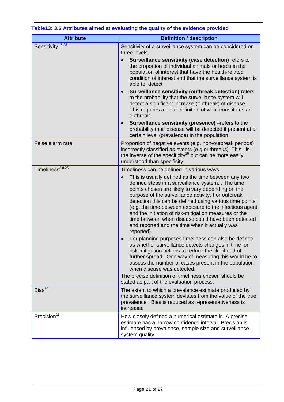| <b>Attribute</b>              | <b>Definition / description</b>                                                                                                                                                                                                                                                                                                                                                                                                                                                                                                                                                                                                                                                                                                                                                                                                                                                                                                                                                                  |  |
|-------------------------------|--------------------------------------------------------------------------------------------------------------------------------------------------------------------------------------------------------------------------------------------------------------------------------------------------------------------------------------------------------------------------------------------------------------------------------------------------------------------------------------------------------------------------------------------------------------------------------------------------------------------------------------------------------------------------------------------------------------------------------------------------------------------------------------------------------------------------------------------------------------------------------------------------------------------------------------------------------------------------------------------------|--|
| Sensitivity <sup>1,8,25</sup> | Sensitivity of a surveillance system can be considered on<br>three levels.<br>Surveillance sensitivity (case detection) refers to<br>$\bullet$<br>the proportion of individual animals or herds in the<br>population of interest that have the health-related<br>condition of interest and that the surveillance system is<br>able to detect<br>Surveillance sensitivity (outbreak detection) refers<br>$\bullet$<br>to the probability that the surveillance system will<br>detect a significant increase (outbreak) of disease.<br>This requires a clear definition of what constitutes an<br>outbreak.<br>Surveillance sensitivity (presence) - refers to the<br>$\bullet$<br>probability that disease will be detected if present at a                                                                                                                                                                                                                                                       |  |
|                               | certain level (prevalence) in the population.                                                                                                                                                                                                                                                                                                                                                                                                                                                                                                                                                                                                                                                                                                                                                                                                                                                                                                                                                    |  |
| False alarm rate              | Proportion of negative events (e.g. non-outbreak periods)<br>incorrectly classified as events (e.g.outbreaks). This is<br>the inverse of the specificity <sup>25</sup> but can be more easily<br>understood than specificity.                                                                                                                                                                                                                                                                                                                                                                                                                                                                                                                                                                                                                                                                                                                                                                    |  |
| Timeliness <sup>3,8,25</sup>  | Timeliness can be defined in various ways<br>This is usually defined as the time between any two<br>defined steps in a surveillance system., The time<br>points chosen are likely to vary depending on the<br>purpose of the surveillance activity. For outbreak<br>detection this can be defined using various time points<br>(e.g. the time between exposure to the infectious agent<br>and the initiation of risk-mitigation measures or the<br>time between when disease could have been detected<br>and reported and the time when it actually was<br>reported).<br>For planning purposes timeliness can also be defined<br>as whether surveillance detects changes in time for<br>risk-mitigation actions to reduce the likelihood of<br>further spread. One way of measuring this would be to<br>assess the number of cases present in the population<br>when disease was detected.<br>The precise definition of timeliness chosen should be<br>stated as part of the evaluation process. |  |
| Bias <sup>25</sup>            | The extent to which a prevalence estimate produced by<br>the surveillance system deviates from the value of the true<br>prevalence. Bias is reduced as representativeness is<br>increased                                                                                                                                                                                                                                                                                                                                                                                                                                                                                                                                                                                                                                                                                                                                                                                                        |  |
| Precision <sup>25</sup>       | How closely defined a numerical estimate is. A precise<br>estimate has a narrow confidence interval. Precision is<br>influenced by prevalence, sample size and surveillance<br>system quality.                                                                                                                                                                                                                                                                                                                                                                                                                                                                                                                                                                                                                                                                                                                                                                                                   |  |

### **Table13: 3.6 Attributes aimed at evaluating the quality of the evidence provided**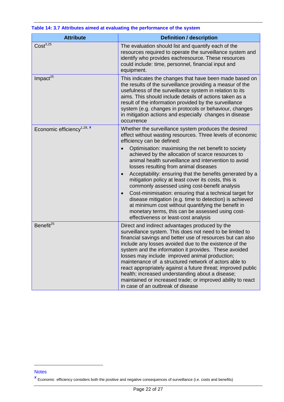| <b>Attribute</b>                       | <b>Definition / description</b>                                                                                                                                                                                                                                                                                                                                                                                                                                                                                                                                                                                                                                                                                                                                                                                                     |
|----------------------------------------|-------------------------------------------------------------------------------------------------------------------------------------------------------------------------------------------------------------------------------------------------------------------------------------------------------------------------------------------------------------------------------------------------------------------------------------------------------------------------------------------------------------------------------------------------------------------------------------------------------------------------------------------------------------------------------------------------------------------------------------------------------------------------------------------------------------------------------------|
| Cost <sup>3,25</sup>                   | The evaluation should list and quantify each of the<br>resources required to operate the surveillance system and<br>identify who provides eachresource. These resources<br>could include: time, personnel, financial input and<br>equipment.                                                                                                                                                                                                                                                                                                                                                                                                                                                                                                                                                                                        |
| Impact <sup>25</sup>                   | This indicates the changes that have been made based on<br>the results of the surveillance providing a measur of the<br>usefulness of the surveillance system in relation to its<br>aims. This should include details of actions taken as a<br>result of the information provided by the surveillance<br>system (e.g. changes in protocols or behaviour, changes<br>in mitigation actions and especially changes in disease<br>occurrence                                                                                                                                                                                                                                                                                                                                                                                           |
| Economic efficiency <sup>1,28, x</sup> | Whether the surveillance system produces the desired<br>effect without wasting resources. Three levels of economic<br>efficiency can be defined:<br>Optimisation: maximising the net benefit to society<br>achieved by the allocation of scarce resources to<br>animal health surveillance and intervention to avoid<br>losses resulting from animal diseases<br>Acceptability: ensuring that the benefits generated by a<br>$\bullet$<br>mitigation policy at least cover its costs, this is<br>commonly assessed using cost-benefit analysis<br>Cost-minimisation: ensuring that a technical target for<br>$\bullet$<br>disease mitigation (e.g. time to detection) is achieved<br>at minimum cost without quantifying the benefit in<br>monetary terms, this can be assessed using cost-<br>effectiveness or least-cost analysis |
| Benefit <sup>25</sup>                  | Direct and indirect advantages produced by the<br>surveillance system. This does not need to be limited to<br>financial savings and better use of resources but can also<br>include any losses avoided due to the existence of the<br>system and the information it provides. These avoided<br>losses may include improved animal production;<br>maintenance of a structured network of actors able to<br>react appropriately against a future threat; improved public<br>health; increased understanding about a disease;<br>maintained or increased trade; or improved ability to react<br>in case of an outbreak of disease                                                                                                                                                                                                      |

#### **Table 14: 3.7 Attributes aimed at evaluating the performance of the system**

<u>.</u>

**Notes** 

**x** Economic efficiency considers both the positive and negative consequences of surveillance (i.e. costs and benefits)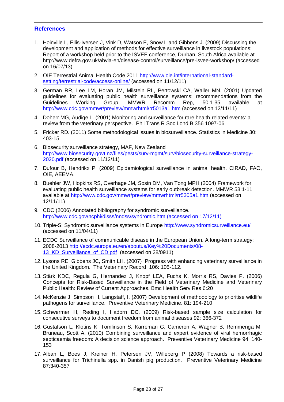#### <span id="page-22-0"></span>**References**

- 1. Hoinville L, Ellis-Iversen J, Vink D, Watson E, Snow L and Gibbens J. (2009) Discussing the development and application of methods for effective surveillance in livestock populations: Report of a workshop held prior to the ISVEE conference, Durban, South Africa available at http://www.defra.gov.uk/ahvla-en/disease-control/surveillance/pre-isvee-workshop/ (accessed on 16/07/13)
- 2. OIE Terrestrial Animal Health Code 2011 [http://www.oie.int/international-standard](http://www.oie.int/international-standard-setting/terrestrial-code/access-online/)[setting/terrestrial-code/access-online/](http://www.oie.int/international-standard-setting/terrestrial-code/access-online/) (accessed on 11/12/11)
- 3. German RR, Lee LM, Horan JM, Milstein RL, Pertowski CA, Waller MN. (2001) Updated guidelines for evaluating public health surveillance systems: recommendations from the Guidelines Working Group. MMWR Recomm Rep, 50:1-35 available at <http://www.cdc.gov/mmwr/preview/mmwrhtml/rr5013a1.htm> (accessed on 12/11/11)
- 4. Doherr MG, Audige L. (2001) Monitoring and surveillance for rare health-related events: a review from the veterinary perspective. Phil Trans R Soc Lond B 356 1097-06
- 5. Fricker RD. (2011) Some methodological issues in biosurveillance. Statistics in Medicine 30: 403-15.
- 6. Biosecurity surveillance strategy, MAF, New Zealand [http://www.biosecurity.govt.nz/files/pests/surv-mgmt/surv/biosecurity-surveillance-strategy-](http://www.biosecurity.govt.nz/files/pests/surv-mgmt/surv/biosecurity-surveillance-strategy-2020.pdf)[2020.pdf](http://www.biosecurity.govt.nz/files/pests/surv-mgmt/surv/biosecurity-surveillance-strategy-2020.pdf) (accessed on 11/12/11)
- 7. Dufour B, Hendrikx P. (2009) Epidemiological surveillance in animal health. CIRAD, FAO, OIE, AEEMA.
- 8. Buehler JW, Hopkins RS, Overhage JM, Sosin DM, Van Tong MPH (2004) Framework for evaluating public health surveillance systems for early outbreak detection. MMWR 53:1-11 available at<http://www.cdc.gov/mmwr/preview/mmwrhtml/rr5305a1.htm> (accessed on 12/11/11)
- 9. CDC (2006) Annotated bibliography for syndromic surveillance. [http://www.cdc.gov/ncphi/disss/nndss/syndromic.htm \(accessed on 17/12/11\)](http://www.cdc.gov/ncphi/disss/nndss/syndromic.htm%20(accessed%20on%2017/12/11))
- 10. Triple-S: Syndromic surveillance systems in Europe<http://www.syndromicsurveillance.eu/> (accessed on 11/04/11)
- 11. ECDC Surveillance of communicable disease in the European Union. A long-term strategy: 2008-2013 [http://ecdc.europa.eu/en/aboutus/Key%20Documents/08-](http://ecdc.europa.eu/en/aboutus/Key%20Documents/08-13_KD_Surveillance_of_CD.pdf) 13 KD Surveillance of CD.pdf (accessed on 28/0911)
- 12. Lysons RE, Gibbens JC, Smith LH. (2007) Progress with enhancing veterinary surveillance in the United Kingdom. The Veterinary Record 106: 105-112.
- 13. Stärk KDC, Regula G, Hernandez J, Knopf LEA, Fuchs K, Morris RS, Davies P. (2006) Concepts for Risk-Based Surveillance in the Field of Veterinary Medicine and Veterinary Public Health: Review of Current Approaches. Bmc Health Serv Res 6:20
- 14. McKenzie J, Simpson H, Langstaff, I. (2007) Development of methodology to prioritise wildlife pathogens for surveillance. Preventive Veterinary Medicine. 81: 194-210
- 15. Schwermer H, Reding I, Hadorn DC. (2009) Risk-based sample size calculation for consecutive surveys to document freedom from animal diseases 92: 366-372
- 16. Gustafson L, Klotins K, Tomlinson S, Karreman G, Cameron A, Wagner B, Remmenga M, Bruneau, Scott A. (2010) Combining surveillance and expert evidence of viral hemorrhagic septicaemia freedom: A decision science approach. Preventive Veterinary Medicine 94: 140- 153
- 17. Alban L, Boes J, Kreiner H, Petersen JV, Willeberg P (2008) Towards a risk-based surveillance for Trichinella spp. in Danish pig production. Preventive Veterinary Medicine 87:340-357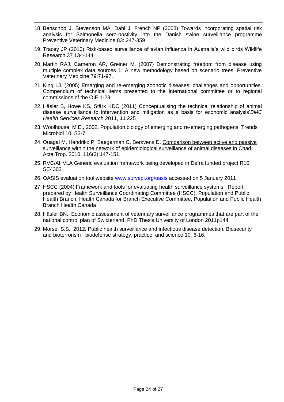- 18. Benschop J, Stevenson MA, Dahl J, French NP (2008) Towards incorporating spatial risk analysis for Salmonella sero-postivity into the Danish swine surveillance programme Preventive Veterinary Medicine 83: 247-359
- 19. Tracey JP (2010) Risk-based surveillance of avian influenza in Australia's wild birds Wildlife Research 37 134-144
- 20. Martin RAJ, Cameron AR, Greiner M. (2007) Demonstrating freedom from disease using multiple complex data sources 1: A new methodology based on scenario trees. Preventive Veterinary Medicine 79:71-97.
- 21. King LJ. (2005) Emerging and re-emerging zoonotic diseases: challenges and opportunities. Compendium of technical items presented to the international committee or to regional commissions of the OIE 1-29
- 22. Häsler B, Howe KS, Stärk KDC (2011) Conceptualising the technical relationship of animal disease surveillance to intervention and mitigation as a basis for economic analysis'*BMC Health Services Research* 2011, **11**:225
- 23. Woolhouse, M.E., 2002. Population biology of emerging and re-emerging pathogens. Trends Microbiol 10, S3-7
- 24. Ouagal M, Hendrikx P, Saegerman C, Berkvens D. [Comparison between active and passive](http://www.ncbi.nlm.nih.gov/pubmed/20655291)  [surveillance within the network of epidemiological surveillance of animal diseases in Chad.](http://www.ncbi.nlm.nih.gov/pubmed/20655291) Acta Trop. 2010, 116(2):147-151.
- 25. RVC/AHVLA Generic evaluation framework being developed in Defra funded project R10: SE4302
- 26. OASIS evaluation tool website [www.survepi.org/oasis](file:///C:/Documents%20and%20Settings/m158515/Documents%20and%20Settings/shared/R&D/CERA/CERA%20Shared/DIS/2011-2012/Working%20Documents%20-%20Science/3.2%20ICAHS/Draft%20Outputs/www.survepi.org/oasis) accessed on 5 January 2011
- 27. HSCC (2004) Framework and tools for evaluating health surveillance systems. Report prepared by Health Surveillance Coordinating Committee (HSCC), Population and Public Health Branch, Health Canada for Branch Executive Committee, Population and Public Health Branch Health Canada
- 28. Häsler BN. Economic assessment of veterinary surveillance programmes that are part of the national control plan of Switzerland. PhD Thesis University of London 2011p144
- 29. Morse, S.S., 2012. Public health surveillance and infectious disease detection. Biosecurity and bioterrorism : biodefense strategy, practice, and science 10, 6-16.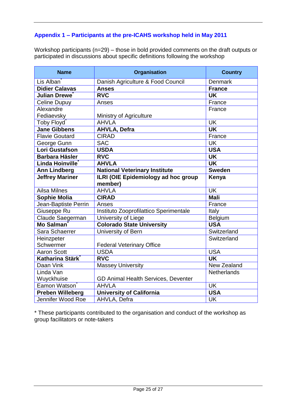### <span id="page-24-0"></span>**Appendix 1 – Participants at the pre-ICAHS workshop held in May 2011**

Workshop participants (n=29) – those in bold provided comments on the draft outputs or participated in discussions about specific definitions following the workshop

| <b>Name</b>             | <b>Organisation</b>                            | <b>Country</b>           |
|-------------------------|------------------------------------------------|--------------------------|
| Lis Alban               | Danish Agriculture & Food Council              | <b>Denmark</b>           |
| <b>Didier Calavas</b>   | <b>Anses</b>                                   | <b>France</b>            |
| Julian Drewe            | <b>RVC</b>                                     | <b>UK</b>                |
| <b>Celine Dupuy</b>     | Anses                                          | France                   |
| Alexandre               |                                                | France                   |
| Fediaevsky              | Ministry of Agriculture                        |                          |
| Toby Floyd              | <b>AHVLA</b>                                   | $\overline{\mathsf{UK}}$ |
| <b>Jane Gibbens</b>     | <b>AHVLA, Defra</b>                            | <b>UK</b>                |
| <b>Flavie Goutard</b>   | <b>CIRAD</b>                                   | France                   |
| George Gunn             | <b>SAC</b>                                     | <b>UK</b>                |
| <b>Lori Gustafson</b>   | <b>USDA</b>                                    | <b>USA</b>               |
| <b>Barbara Häsler</b>   | <b>RVC</b>                                     | <b>UK</b>                |
| Linda Hoinville         | <b>AHVLA</b>                                   | <b>UK</b>                |
| <b>Ann Lindberg</b>     | <b>National Veterinary Institute</b>           | <b>Sweden</b>            |
| <b>Jeffrey Mariner</b>  | ILRI (OIE Epidemiology ad hoc group<br>member) | Kenya                    |
| <b>Ailsa Milnes</b>     | <b>AHVLA</b>                                   | <b>UK</b>                |
| <b>Sophie Molia</b>     | <b>CIRAD</b>                                   | <b>Mali</b>              |
| Jean-Baptiste Perrin    | Anses                                          | France                   |
| Giuseppe Ru             | Instituto Zooprofilattico Sperimentale         | Italy                    |
| Claude Saegerman        | University of Liege                            | Belgium                  |
| <b>Mo Salman</b>        | <b>Colorado State University</b>               | <b>USA</b>               |
| Sara Schaerrer          | University of Bern                             | Switzerland              |
| Heinzpeter              |                                                | Switzerland              |
| Schwermer               | <b>Federal Veterinary Office</b>               |                          |
| <b>Aaron Scott</b>      | <b>USDA</b>                                    | <b>USA</b>               |
| Katharina Stärk         | <b>RVC</b>                                     | <b>UK</b>                |
| Daan Vink               | <b>Massey University</b>                       | New Zealand              |
| Linda Van               |                                                | <b>Netherlands</b>       |
| Wuyckhuise              | GD Animal Health Services, Deventer            |                          |
| <b>Eamon Watson</b>     | <b>AHVLA</b>                                   | <b>UK</b>                |
| <b>Preben Willeberg</b> | <b>University of California</b>                | <b>USA</b>               |
| Jennifer Wood Roe       | AHVLA, Defra                                   | <b>UK</b>                |

\* These participants contributed to the organisation and conduct of the workshop as group facilitators or note-takers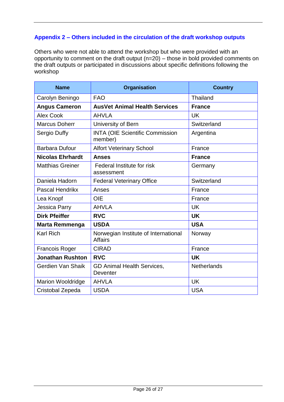### <span id="page-25-0"></span>**Appendix 2 – Others included in the circulation of the draft workshop outputs**

Others who were not able to attend the workshop but who were provided with an opportunity to comment on the draft output (n=20) – those in bold provided comments on the draft outputs or participated in discussions about specific definitions following the workshop

| <b>Name</b>              | <b>Organisation</b>                                    | <b>Country</b>     |
|--------------------------|--------------------------------------------------------|--------------------|
| Carolyn Beningo          | <b>FAO</b>                                             | Thailand           |
| <b>Angus Cameron</b>     | <b>AusVet Animal Health Services</b>                   | <b>France</b>      |
| <b>Alex Cook</b>         | <b>AHVLA</b>                                           | <b>UK</b>          |
| <b>Marcus Doherr</b>     | University of Bern                                     | Switzerland        |
| Sergio Duffy             | <b>INTA (OIE Scientific Commission</b><br>member)      | Argentina          |
| <b>Barbara Dufour</b>    | <b>Alfort Veterinary School</b>                        | France             |
| <b>Nicolas Ehrhardt</b>  | <b>Anses</b>                                           | <b>France</b>      |
| <b>Matthias Greiner</b>  | Federal Institute for risk<br>assessment               | Germany            |
| Daniela Hadorn           | <b>Federal Veterinary Office</b>                       | Switzerland        |
| Pascal Hendrikx          | Anses                                                  | France             |
| Lea Knopf                | <b>OIE</b>                                             | France             |
| Jessica Parry            | <b>AHVLA</b>                                           | <b>UK</b>          |
| <b>Dirk Pfeiffer</b>     | <b>RVC</b>                                             | <b>UK</b>          |
| <b>Marta Remmenga</b>    | <b>USDA</b>                                            | <b>USA</b>         |
| <b>Karl Rich</b>         | Norwegian Institute of International<br><b>Affairs</b> | Norway             |
| <b>Francois Roger</b>    | <b>CIRAD</b>                                           | France             |
| <b>Jonathan Rushton</b>  | <b>RVC</b>                                             | <b>UK</b>          |
| Gerdien Van Shaik        | GD Animal Health Services,<br>Deventer                 | <b>Netherlands</b> |
| <b>Marion Wooldridge</b> | <b>AHVLA</b>                                           | <b>UK</b>          |
| Cristobal Zepeda         | <b>USDA</b>                                            | <b>USA</b>         |